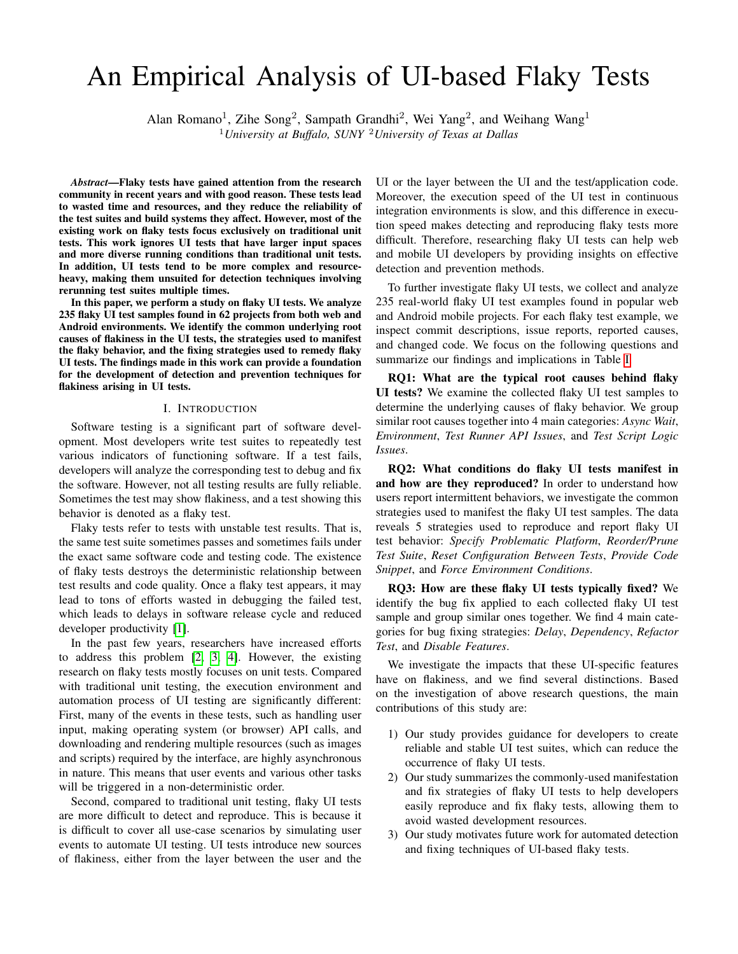# An Empirical Analysis of UI-based Flaky Tests

Alan Romano<sup>1</sup>, Zihe Song<sup>2</sup>, Sampath Grandhi<sup>2</sup>, Wei Yang<sup>2</sup>, and Weihang Wang<sup>1</sup>

<sup>1</sup>*University at Buffalo, SUNY* <sup>2</sup>*University of Texas at Dallas*

*Abstract*—Flaky tests have gained attention from the research community in recent years and with good reason. These tests lead to wasted time and resources, and they reduce the reliability of the test suites and build systems they affect. However, most of the existing work on flaky tests focus exclusively on traditional unit tests. This work ignores UI tests that have larger input spaces and more diverse running conditions than traditional unit tests. In addition, UI tests tend to be more complex and resourceheavy, making them unsuited for detection techniques involving rerunning test suites multiple times.

In this paper, we perform a study on flaky UI tests. We analyze 235 flaky UI test samples found in 62 projects from both web and Android environments. We identify the common underlying root causes of flakiness in the UI tests, the strategies used to manifest the flaky behavior, and the fixing strategies used to remedy flaky UI tests. The findings made in this work can provide a foundation for the development of detection and prevention techniques for flakiness arising in UI tests.

#### I. INTRODUCTION

Software testing is a significant part of software development. Most developers write test suites to repeatedly test various indicators of functioning software. If a test fails, developers will analyze the corresponding test to debug and fix the software. However, not all testing results are fully reliable. Sometimes the test may show flakiness, and a test showing this behavior is denoted as a flaky test.

Flaky tests refer to tests with unstable test results. That is, the same test suite sometimes passes and sometimes fails under the exact same software code and testing code. The existence of flaky tests destroys the deterministic relationship between test results and code quality. Once a flaky test appears, it may lead to tons of efforts wasted in debugging the failed test, which leads to delays in software release cycle and reduced developer productivity [\[1\]](#page-10-0).

In the past few years, researchers have increased efforts to address this problem [\[2,](#page-10-1) [3,](#page-11-0) [4\]](#page-11-1). However, the existing research on flaky tests mostly focuses on unit tests. Compared with traditional unit testing, the execution environment and automation process of UI testing are significantly different: First, many of the events in these tests, such as handling user input, making operating system (or browser) API calls, and downloading and rendering multiple resources (such as images and scripts) required by the interface, are highly asynchronous in nature. This means that user events and various other tasks will be triggered in a non-deterministic order.

Second, compared to traditional unit testing, flaky UI tests are more difficult to detect and reproduce. This is because it is difficult to cover all use-case scenarios by simulating user events to automate UI testing. UI tests introduce new sources of flakiness, either from the layer between the user and the

UI or the layer between the UI and the test/application code. Moreover, the execution speed of the UI test in continuous integration environments is slow, and this difference in execution speed makes detecting and reproducing flaky tests more difficult. Therefore, researching flaky UI tests can help web and mobile UI developers by providing insights on effective detection and prevention methods.

To further investigate flaky UI tests, we collect and analyze 235 real-world flaky UI test examples found in popular web and Android mobile projects. For each flaky test example, we inspect commit descriptions, issue reports, reported causes, and changed code. We focus on the following questions and summarize our findings and implications in Table [I.](#page-1-0)

RQ1: What are the typical root causes behind flaky UI tests? We examine the collected flaky UI test samples to determine the underlying causes of flaky behavior. We group similar root causes together into 4 main categories: *Async Wait*, *Environment*, *Test Runner API Issues*, and *Test Script Logic Issues*.

RQ2: What conditions do flaky UI tests manifest in and how are they reproduced? In order to understand how users report intermittent behaviors, we investigate the common strategies used to manifest the flaky UI test samples. The data reveals 5 strategies used to reproduce and report flaky UI test behavior: *Specify Problematic Platform*, *Reorder/Prune Test Suite*, *Reset Configuration Between Tests*, *Provide Code Snippet*, and *Force Environment Conditions*.

RQ3: How are these flaky UI tests typically fixed? We identify the bug fix applied to each collected flaky UI test sample and group similar ones together. We find 4 main categories for bug fixing strategies: *Delay*, *Dependency*, *Refactor Test*, and *Disable Features*.

We investigate the impacts that these UI-specific features have on flakiness, and we find several distinctions. Based on the investigation of above research questions, the main contributions of this study are:

- 1) Our study provides guidance for developers to create reliable and stable UI test suites, which can reduce the occurrence of flaky UI tests.
- 2) Our study summarizes the commonly-used manifestation and fix strategies of flaky UI tests to help developers easily reproduce and fix flaky tests, allowing them to avoid wasted development resources.
- 3) Our study motivates future work for automated detection and fixing techniques of UI-based flaky tests.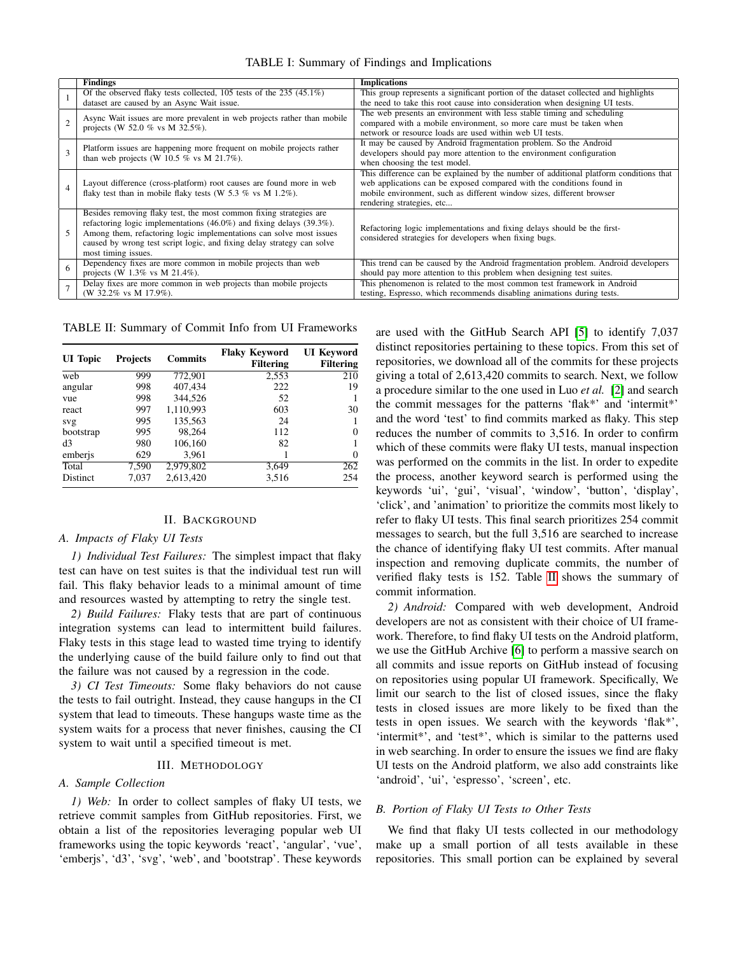TABLE I: Summary of Findings and Implications

<span id="page-1-0"></span>

|   | <b>Findings</b>                                                                                            | <b>Implications</b>                                                                   |  |  |
|---|------------------------------------------------------------------------------------------------------------|---------------------------------------------------------------------------------------|--|--|
|   | Of the observed flaky tests collected, $105$ tests of the $235$ (45.1%)                                    | This group represents a significant portion of the dataset collected and highlights   |  |  |
|   | dataset are caused by an Async Wait issue.                                                                 | the need to take this root cause into consideration when designing UI tests.          |  |  |
|   | Async Wait issues are more prevalent in web projects rather than mobile<br>projects (W 52.0 % vs M 32.5%). | The web presents an environment with less stable timing and scheduling                |  |  |
|   |                                                                                                            | compared with a mobile environment, so more care must be taken when                   |  |  |
|   |                                                                                                            | network or resource loads are used within web UI tests.                               |  |  |
|   | Platform issues are happening more frequent on mobile projects rather                                      | It may be caused by Android fragmentation problem. So the Android                     |  |  |
|   | than web projects (W 10.5 $\%$ vs M 21.7%).                                                                | developers should pay more attention to the environment configuration                 |  |  |
|   |                                                                                                            | when choosing the test model.                                                         |  |  |
|   | Layout difference (cross-platform) root causes are found more in web                                       | This difference can be explained by the number of additional platform conditions that |  |  |
|   |                                                                                                            | web applications can be exposed compared with the conditions found in                 |  |  |
|   | flaky test than in mobile flaky tests (W 5.3 % vs M 1.2%).                                                 | mobile environment, such as different window sizes, different browser                 |  |  |
|   |                                                                                                            | rendering strategies, etc                                                             |  |  |
|   | Besides removing flaky test, the most common fixing strategies are                                         |                                                                                       |  |  |
|   | refactoring logic implementations $(46.0\%)$ and fixing delays $(39.3\%).$                                 | Refactoring logic implementations and fixing delays should be the first-              |  |  |
|   | Among them, refactoring logic implementations can solve most issues                                        | considered strategies for developers when fixing bugs.                                |  |  |
|   | caused by wrong test script logic, and fixing delay strategy can solve                                     |                                                                                       |  |  |
|   | most timing issues.                                                                                        |                                                                                       |  |  |
| 6 | Dependency fixes are more common in mobile projects than web                                               | This trend can be caused by the Android fragmentation problem. Android developers     |  |  |
|   | projects (W $1.3\%$ vs M $21.4\%$ ).                                                                       | should pay more attention to this problem when designing test suites.                 |  |  |
|   | Delay fixes are more common in web projects than mobile projects                                           | This phenomenon is related to the most common test framework in Android               |  |  |
|   | (W 32.2% vs M 17.9%).                                                                                      | testing, Espresso, which recommends disabling animations during tests.                |  |  |

<span id="page-1-1"></span>TABLE II: Summary of Commit Info from UI Frameworks

| <b>UI</b> Topic | <b>Projects</b> | <b>Commits</b> | <b>Flaky Keyword</b><br><b>Filtering</b> | <b>UI</b> Keyword<br><b>Filtering</b> |
|-----------------|-----------------|----------------|------------------------------------------|---------------------------------------|
| web             | 999             | 772,901        | 2,553                                    | 210                                   |
| angular         | 998             | 407,434        | 222                                      | 19                                    |
| vue             | 998             | 344,526        | 52                                       |                                       |
| react           | 997             | 1,110,993      | 603                                      | 30                                    |
| svg             | 995             | 135,563        | 24                                       |                                       |
| bootstrap       | 995             | 98.264         | 112                                      | 0                                     |
| d3              | 980             | 106,160        | 82                                       |                                       |
| emberjs         | 629             | 3,961          |                                          | $\Omega$                              |
| Total           | 7,590           | 2,979,802      | 3,649                                    | 262                                   |
| <b>Distinct</b> | 7,037           | 2,613,420      | 3,516                                    | 254                                   |

## II. BACKGROUND

## *A. Impacts of Flaky UI Tests*

*1) Individual Test Failures:* The simplest impact that flaky test can have on test suites is that the individual test run will fail. This flaky behavior leads to a minimal amount of time and resources wasted by attempting to retry the single test.

*2) Build Failures:* Flaky tests that are part of continuous integration systems can lead to intermittent build failures. Flaky tests in this stage lead to wasted time trying to identify the underlying cause of the build failure only to find out that the failure was not caused by a regression in the code.

*3) CI Test Timeouts:* Some flaky behaviors do not cause the tests to fail outright. Instead, they cause hangups in the CI system that lead to timeouts. These hangups waste time as the system waits for a process that never finishes, causing the CI system to wait until a specified timeout is met.

#### III. METHODOLOGY

## *A. Sample Collection*

*1) Web:* In order to collect samples of flaky UI tests, we retrieve commit samples from GitHub repositories. First, we obtain a list of the repositories leveraging popular web UI frameworks using the topic keywords 'react', 'angular', 'vue', 'emberjs', 'd3', 'svg', 'web', and 'bootstrap'. These keywords are used with the GitHub Search API [\[5\]](#page-11-2) to identify 7,037 distinct repositories pertaining to these topics. From this set of repositories, we download all of the commits for these projects giving a total of 2,613,420 commits to search. Next, we follow a procedure similar to the one used in Luo *et al.* [\[2\]](#page-10-1) and search the commit messages for the patterns 'flak\*' and 'intermit\*' and the word 'test' to find commits marked as flaky. This step reduces the number of commits to 3,516. In order to confirm which of these commits were flaky UI tests, manual inspection was performed on the commits in the list. In order to expedite the process, another keyword search is performed using the keywords 'ui', 'gui', 'visual', 'window', 'button', 'display', 'click', and 'animation' to prioritize the commits most likely to refer to flaky UI tests. This final search prioritizes 254 commit messages to search, but the full 3,516 are searched to increase the chance of identifying flaky UI test commits. After manual inspection and removing duplicate commits, the number of verified flaky tests is 152. Table [II](#page-1-1) shows the summary of commit information.

*2) Android:* Compared with web development, Android developers are not as consistent with their choice of UI framework. Therefore, to find flaky UI tests on the Android platform, we use the GitHub Archive [\[6\]](#page-11-3) to perform a massive search on all commits and issue reports on GitHub instead of focusing on repositories using popular UI framework. Specifically, We limit our search to the list of closed issues, since the flaky tests in closed issues are more likely to be fixed than the tests in open issues. We search with the keywords 'flak\*', 'intermit\*', and 'test\*', which is similar to the patterns used in web searching. In order to ensure the issues we find are flaky UI tests on the Android platform, we also add constraints like 'android', 'ui', 'espresso', 'screen', etc.

## *B. Portion of Flaky UI Tests to Other Tests*

We find that flaky UI tests collected in our methodology make up a small portion of all tests available in these repositories. This small portion can be explained by several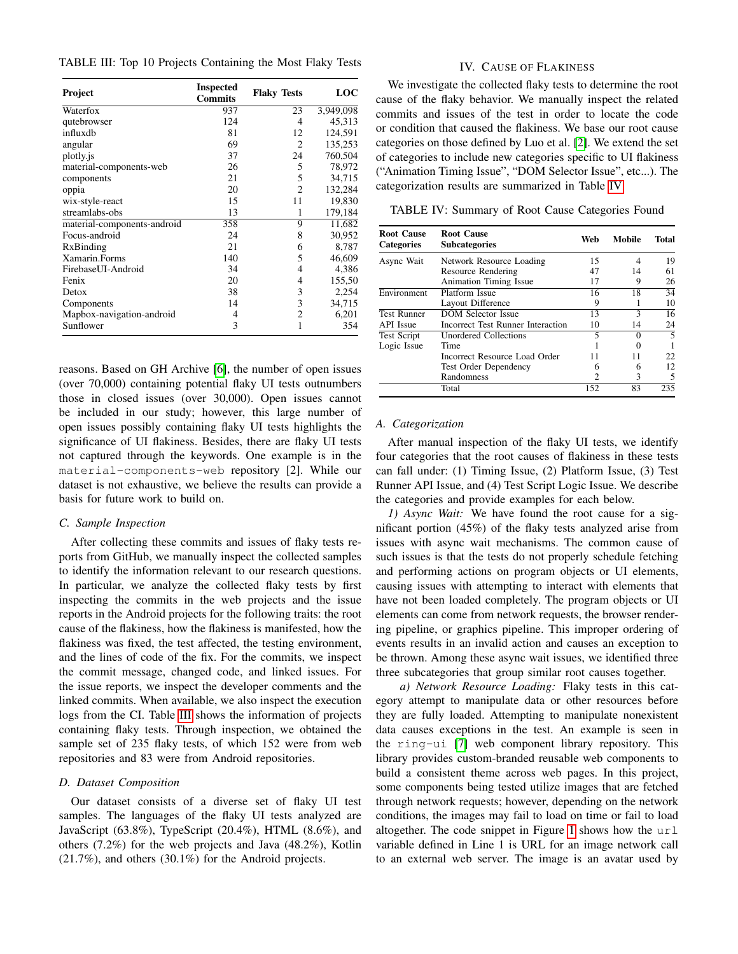<span id="page-2-0"></span>TABLE III: Top 10 Projects Containing the Most Flaky Tests

| <b>Project</b>              | <b>Inspected</b><br><b>Commits</b> | <b>Flaky Tests</b> | LOC       |
|-----------------------------|------------------------------------|--------------------|-----------|
| Waterfox                    | 937                                | 23                 | 3,949,098 |
| qutebrowser                 | 124                                | 4                  | 45,313    |
| influxdb                    | 81                                 | 12                 | 124,591   |
| angular                     | 69                                 | 2                  | 135,253   |
| plotly.js                   | 37                                 | 24                 | 760,504   |
| material-components-web     | 26                                 | 5                  | 78,972    |
| components                  | 21                                 | 5                  | 34,715    |
| oppia                       | 20                                 | $\overline{2}$     | 132,284   |
| wix-style-react             | 15                                 | 11                 | 19,830    |
| streamlabs-obs              | 13                                 | 1                  | 179,184   |
| material-components-android | 358                                | 9                  | 11,682    |
| Focus-android               | 24                                 | 8                  | 30,952    |
| RxBinding                   | 21                                 | 6                  | 8,787     |
| Xamarin.Forms               | 140                                | 5                  | 46,609    |
| FirebaseUI-Android          | 34                                 | 4                  | 4,386     |
| Fenix                       | 20                                 | 4                  | 155,50    |
| Detox                       | 38                                 | 3                  | 2,254     |
| Components                  | 14                                 | 3                  | 34,715    |
| Mapbox-navigation-android   | 4                                  | 2                  | 6,201     |
| Sunflower                   | 3                                  | 1                  | 354       |

reasons. Based on GH Archive [\[6\]](#page-11-3), the number of open issues (over 70,000) containing potential flaky UI tests outnumbers those in closed issues (over 30,000). Open issues cannot be included in our study; however, this large number of open issues possibly containing flaky UI tests highlights the significance of UI flakiness. Besides, there are flaky UI tests not captured through the keywords. One example is in the material-components-web repository [2]. While our dataset is not exhaustive, we believe the results can provide a basis for future work to build on.

## *C. Sample Inspection*

After collecting these commits and issues of flaky tests reports from GitHub, we manually inspect the collected samples to identify the information relevant to our research questions. In particular, we analyze the collected flaky tests by first inspecting the commits in the web projects and the issue reports in the Android projects for the following traits: the root cause of the flakiness, how the flakiness is manifested, how the flakiness was fixed, the test affected, the testing environment, and the lines of code of the fix. For the commits, we inspect the commit message, changed code, and linked issues. For the issue reports, we inspect the developer comments and the linked commits. When available, we also inspect the execution logs from the CI. Table [III](#page-2-0) shows the information of projects containing flaky tests. Through inspection, we obtained the sample set of 235 flaky tests, of which 152 were from web repositories and 83 were from Android repositories.

## *D. Dataset Composition*

Our dataset consists of a diverse set of flaky UI test samples. The languages of the flaky UI tests analyzed are JavaScript (63.8%), TypeScript (20.4%), HTML (8.6%), and others (7.2%) for the web projects and Java (48.2%), Kotlin (21.7%), and others (30.1%) for the Android projects.

## IV. CAUSE OF FLAKINESS

<span id="page-2-2"></span>We investigate the collected flaky tests to determine the root cause of the flaky behavior. We manually inspect the related commits and issues of the test in order to locate the code or condition that caused the flakiness. We base our root cause categories on those defined by Luo et al. [\[2\]](#page-10-1). We extend the set of categories to include new categories specific to UI flakiness ("Animation Timing Issue", "DOM Selector Issue", etc...). The categorization results are summarized in Table [IV.](#page-2-1)

<span id="page-2-1"></span>TABLE IV: Summary of Root Cause Categories Found

| <b>Root Cause</b><br><b>Categories</b> | <b>Root Cause</b><br><b>Subcategories</b> | Web            | Mobile                                                         | Total |
|----------------------------------------|-------------------------------------------|----------------|----------------------------------------------------------------|-------|
| Async Wait                             | Network Resource Loading                  | 15             | 4<br>14<br>9<br>18<br>3<br>14<br>0<br>$\Omega$<br>11<br>6<br>3 | 19    |
|                                        | <b>Resource Rendering</b>                 | 47             |                                                                | 61    |
|                                        | Animation Timing Issue                    | 17             |                                                                | 26    |
| Environment                            | Platform Issue                            | 16             |                                                                | 34    |
|                                        | Layout Difference                         | 9              |                                                                | 10    |
| <b>Test Runner</b>                     | <b>DOM Selector Issue</b>                 | 13             |                                                                | 16    |
| <b>API</b> Issue                       | Incorrect Test Runner Interaction         | 10             |                                                                | 24    |
| <b>Test Script</b>                     | Unordered Collections                     | 5              |                                                                | 5     |
| Logic Issue                            | Time                                      |                |                                                                |       |
|                                        | Incorrect Resource Load Order             | 11             |                                                                | 22    |
|                                        | <b>Test Order Dependency</b>              | 6              |                                                                | 12    |
|                                        | Randomness                                | $\mathfrak{D}$ |                                                                | 5     |
|                                        | Total                                     | 152            | 83                                                             | 235   |

#### *A. Categorization*

After manual inspection of the flaky UI tests, we identify four categories that the root causes of flakiness in these tests can fall under: (1) Timing Issue, (2) Platform Issue, (3) Test Runner API Issue, and (4) Test Script Logic Issue. We describe the categories and provide examples for each below.

*1) Async Wait:* We have found the root cause for a significant portion (45%) of the flaky tests analyzed arise from issues with async wait mechanisms. The common cause of such issues is that the tests do not properly schedule fetching and performing actions on program objects or UI elements, causing issues with attempting to interact with elements that have not been loaded completely. The program objects or UI elements can come from network requests, the browser rendering pipeline, or graphics pipeline. This improper ordering of events results in an invalid action and causes an exception to be thrown. Among these async wait issues, we identified three three subcategories that group similar root causes together.

*a) Network Resource Loading:* Flaky tests in this category attempt to manipulate data or other resources before they are fully loaded. Attempting to manipulate nonexistent data causes exceptions in the test. An example is seen in the ring-ui [\[7\]](#page-11-4) web component library repository. This library provides custom-branded reusable web components to build a consistent theme across web pages. In this project, some components being tested utilize images that are fetched through network requests; however, depending on the network conditions, the images may fail to load on time or fail to load altogether. The code snippet in Figure [1](#page-3-0) shows how the  $ur1$ variable defined in Line 1 is URL for an image network call to an external web server. The image is an avatar used by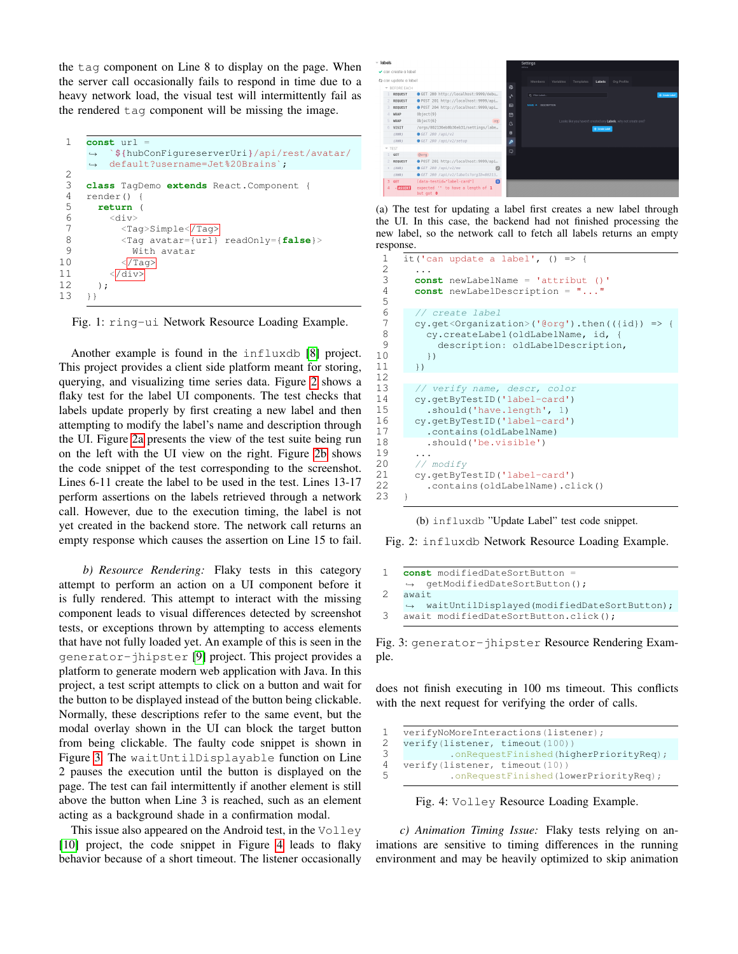the tag component on Line 8 to display on the page. When the server call occasionally fails to respond in time due to a heavy network load, the visual test will intermittently fail as the rendered tag component will be missing the image.

```
1 const url
           `${hubConFigureserverUri}/api/rest/avatar/
           default?username=Jet%20Brains`;
      \hookrightarrow\leftrightarrow\frac{2}{3}3 class TagDemo extends React.Component {
 4 render()<br>5 return
 5 return (
           6 div>7 <Tag>Simple<\frac{7}{1} <Tag>Simple<\frac{7}{1}8 < Tag avatar={url} readOnly={false}><br>9 W with avatar
                With avatar
10 \langle/Tag>
11 \langle \overline{/div} \rangle12 );
13 +
```
Fig. 1: ring-ui Network Resource Loading Example.

Another example is found in the influxdb [\[8\]](#page-11-5) project. This project provides a client side platform meant for storing, querying, and visualizing time series data. Figure [2](#page-3-1) shows a flaky test for the label UI components. The test checks that labels update properly by first creating a new label and then attempting to modify the label's name and description through the UI. Figure [2a](#page-3-1) presents the view of the test suite being run on the left with the UI view on the right. Figure [2b](#page-3-1) shows the code snippet of the test corresponding to the screenshot. Lines 6-11 create the label to be used in the test. Lines 13-17 perform assertions on the labels retrieved through a network call. However, due to the execution timing, the label is not yet created in the backend store. The network call returns an empty response which causes the assertion on Line 15 to fail.

*b) Resource Rendering:* Flaky tests in this category attempt to perform an action on a UI component before it is fully rendered. This attempt to interact with the missing component leads to visual differences detected by screenshot tests, or exceptions thrown by attempting to access elements that have not fully loaded yet. An example of this is seen in the generator-jhipster [\[9\]](#page-11-6) project. This project provides a platform to generate modern web application with Java. In this project, a test script attempts to click on a button and wait for the button to be displayed instead of the button being clickable. Normally, these descriptions refer to the same event, but the modal overlay shown in the UI can block the target button from being clickable. The faulty code snippet is shown in Figure [3.](#page-3-2) The waitUntilDisplayable function on Line 2 pauses the execution until the button is displayed on the page. The test can fail intermittently if another element is still above the button when Line 3 is reached, such as an element acting as a background shade in a confirmation modal.

This issue also appeared on the Android test, in the Volley [\[10\]](#page-11-7) project, the code snippet in Figure [4](#page-3-3) leads to flaky behavior because of a short timeout. The listener occasionally

<span id="page-3-1"></span>

(a) The test for updating a label first creates a new label through the UI. In this case, the backend had not finished processing the new label, so the network call to fetch all labels returns an empty response.

```
1 it('can update a label', () \Rightarrow {<br>2 ...
         2 ...
 3 const newLabelName = 'attribut ()'
 4 const newLabelDescription = "..."
 5
 6 // create label<br>7 cy get<Organiza
 7 cy.get<Organization>('@org').then(({id}) => {<br>8 cy.createLabel(oldLabelName, id, {
 8 cy.createLabel(oldLabelName, id, {<br>9 description: oldLabelDescription
             description: oldLabelDescription,
10 })
11 \t}12
13 // verify name, descr, color
14 cy.getByTestID('label-card')<br>15 .should('have.length', 1)
           .should('have.length', 1)
16 cy.getByTestID('label-card')
17 .contains(oldLabelName)<br>18 .should('be.visible')
           .should('be.visible')
\frac{19}{20}20 // modify<br>21 cv. getByT
         cy.getByTestID('label-card')
22 .contains(oldLabelName).click()
23 }
```
(b) influxdb "Update Label" test code snippet.

Fig. 2: influxdb Network Resource Loading Example.

```
1 const modifiedDateSortButton
    ,→ getModifiedDateSortButton();
2 await
       waitUntilDisplayed(modifiedDateSortButton);
3 await modifiedDateSortButton.click();
```
Fig. 3: generator-jhipster Resource Rendering Example.

does not finish executing in 100 ms timeout. This conflicts with the next request for verifying the order of calls.

```
1 verifyNoMoreInteractions(listener);<br>2 verify(listener, timeout(100))
2 verify(listener, timeout(100))
                .onRequestFinished(higherPriorityReq);
4 verify(listener, timeout(10))<br>5 conRequestEinished(10
               .onRequestFinished(lowerPriorityReq);
```
Fig. 4: Volley Resource Loading Example.

*c) Animation Timing Issue:* Flaky tests relying on animations are sensitive to timing differences in the running environment and may be heavily optimized to skip animation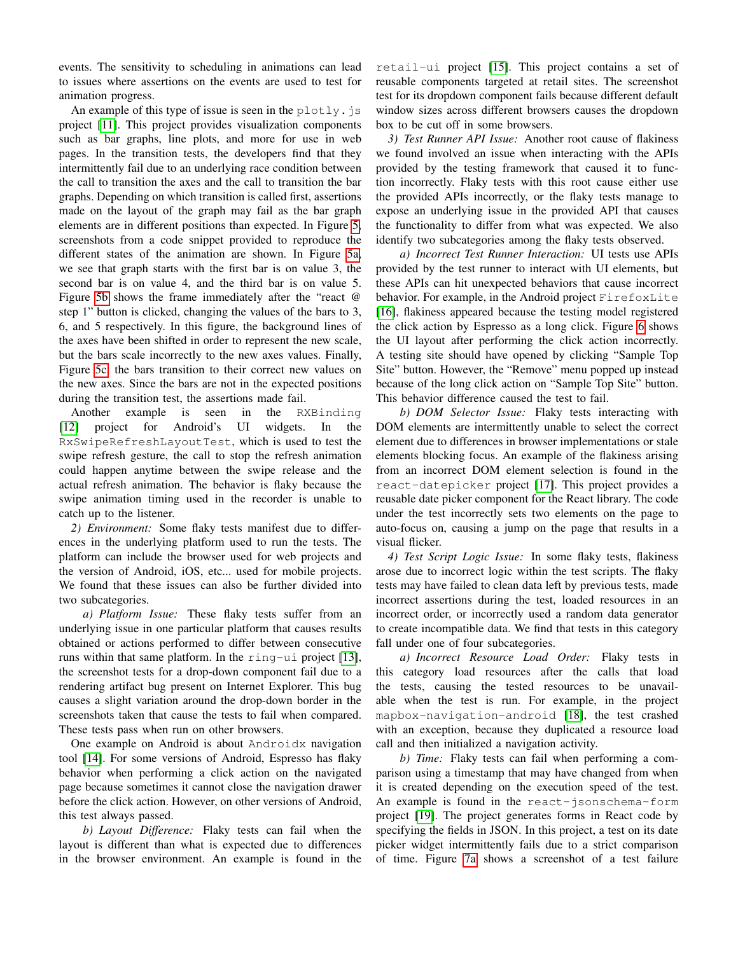events. The sensitivity to scheduling in animations can lead to issues where assertions on the events are used to test for animation progress.

An example of this type of issue is seen in the  $p$ lotly. js project [\[11\]](#page-11-8). This project provides visualization components such as bar graphs, line plots, and more for use in web pages. In the transition tests, the developers find that they intermittently fail due to an underlying race condition between the call to transition the axes and the call to transition the bar graphs. Depending on which transition is called first, assertions made on the layout of the graph may fail as the bar graph elements are in different positions than expected. In Figure [5,](#page-5-0) screenshots from a code snippet provided to reproduce the different states of the animation are shown. In Figure [5a,](#page-5-0) we see that graph starts with the first bar is on value 3, the second bar is on value 4, and the third bar is on value 5. Figure [5b](#page-5-0) shows the frame immediately after the "react @ step 1" button is clicked, changing the values of the bars to 3, 6, and 5 respectively. In this figure, the background lines of the axes have been shifted in order to represent the new scale, but the bars scale incorrectly to the new axes values. Finally, Figure [5c,](#page-5-0) the bars transition to their correct new values on the new axes. Since the bars are not in the expected positions during the transition test, the assertions made fail.

Another example is seen in the RXBinding [\[12\]](#page-11-9) project for Android's UI widgets. In the RxSwipeRefreshLayoutTest, which is used to test the swipe refresh gesture, the call to stop the refresh animation could happen anytime between the swipe release and the actual refresh animation. The behavior is flaky because the swipe animation timing used in the recorder is unable to catch up to the listener.

*2) Environment:* Some flaky tests manifest due to differences in the underlying platform used to run the tests. The platform can include the browser used for web projects and the version of Android, iOS, etc... used for mobile projects. We found that these issues can also be further divided into two subcategories.

*a) Platform Issue:* These flaky tests suffer from an underlying issue in one particular platform that causes results obtained or actions performed to differ between consecutive runs within that same platform. In the ring-ui project [\[13\]](#page-11-10), the screenshot tests for a drop-down component fail due to a rendering artifact bug present on Internet Explorer. This bug causes a slight variation around the drop-down border in the screenshots taken that cause the tests to fail when compared. These tests pass when run on other browsers.

One example on Android is about Androidx navigation tool [\[14\]](#page-11-11). For some versions of Android, Espresso has flaky behavior when performing a click action on the navigated page because sometimes it cannot close the navigation drawer before the click action. However, on other versions of Android, this test always passed.

*b) Layout Difference:* Flaky tests can fail when the layout is different than what is expected due to differences in the browser environment. An example is found in the

retail-ui project [\[15\]](#page-11-12). This project contains a set of reusable components targeted at retail sites. The screenshot test for its dropdown component fails because different default window sizes across different browsers causes the dropdown box to be cut off in some browsers.

*3) Test Runner API Issue:* Another root cause of flakiness we found involved an issue when interacting with the APIs provided by the testing framework that caused it to function incorrectly. Flaky tests with this root cause either use the provided APIs incorrectly, or the flaky tests manage to expose an underlying issue in the provided API that causes the functionality to differ from what was expected. We also identify two subcategories among the flaky tests observed.

*a) Incorrect Test Runner Interaction:* UI tests use APIs provided by the test runner to interact with UI elements, but these APIs can hit unexpected behaviors that cause incorrect behavior. For example, in the Android project FirefoxLite [\[16\]](#page-11-13), flakiness appeared because the testing model registered the click action by Espresso as a long click. Figure [6](#page-5-1) shows the UI layout after performing the click action incorrectly. A testing site should have opened by clicking "Sample Top Site" button. However, the "Remove" menu popped up instead because of the long click action on "Sample Top Site" button. This behavior difference caused the test to fail.

*b) DOM Selector Issue:* Flaky tests interacting with DOM elements are intermittently unable to select the correct element due to differences in browser implementations or stale elements blocking focus. An example of the flakiness arising from an incorrect DOM element selection is found in the react-datepicker project [\[17\]](#page-11-14). This project provides a reusable date picker component for the React library. The code under the test incorrectly sets two elements on the page to auto-focus on, causing a jump on the page that results in a visual flicker.

*4) Test Script Logic Issue:* In some flaky tests, flakiness arose due to incorrect logic within the test scripts. The flaky tests may have failed to clean data left by previous tests, made incorrect assertions during the test, loaded resources in an incorrect order, or incorrectly used a random data generator to create incompatible data. We find that tests in this category fall under one of four subcategories.

*a) Incorrect Resource Load Order:* Flaky tests in this category load resources after the calls that load the tests, causing the tested resources to be unavailable when the test is run. For example, in the project mapbox-navigation-android [\[18\]](#page-11-15), the test crashed with an exception, because they duplicated a resource load call and then initialized a navigation activity.

*b) Time:* Flaky tests can fail when performing a comparison using a timestamp that may have changed from when it is created depending on the execution speed of the test. An example is found in the react-jsonschema-form project [\[19\]](#page-11-16). The project generates forms in React code by specifying the fields in JSON. In this project, a test on its date picker widget intermittently fails due to a strict comparison of time. Figure [7a](#page-5-2) shows a screenshot of a test failure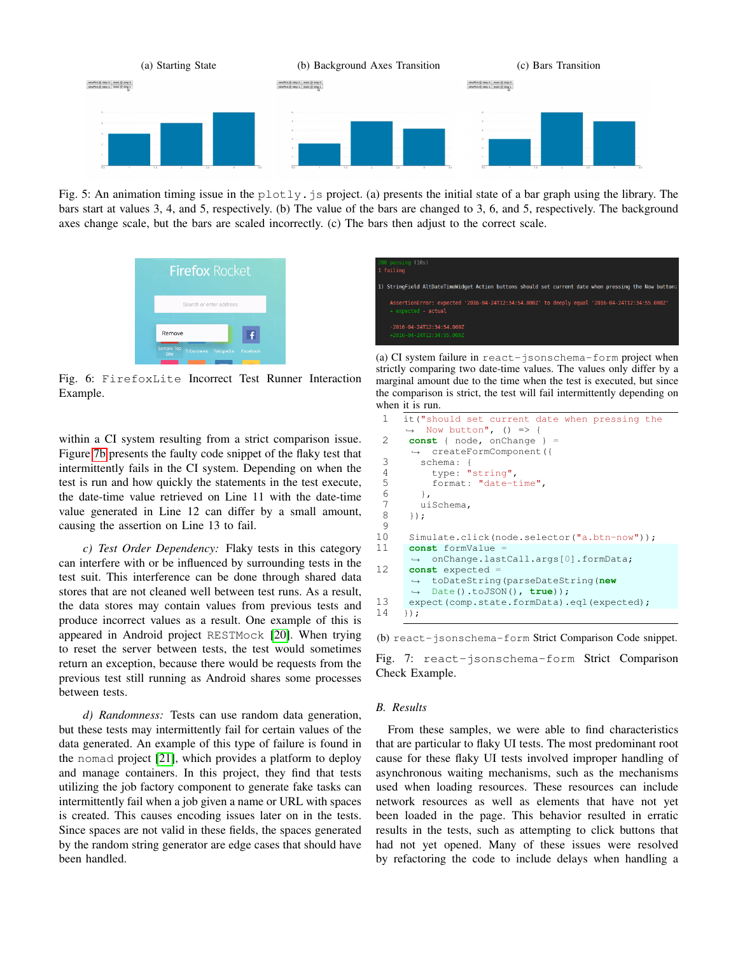<span id="page-5-0"></span>

<span id="page-5-1"></span>Fig. 5: An animation timing issue in the  $plotly$ , js project. (a) presents the initial state of a bar graph using the library. The bars start at values 3, 4, and 5, respectively. (b) The value of the bars are changed to 3, 6, and 5, respectively. The background axes change scale, but the bars are scaled incorrectly. (c) The bars then adjust to the correct scale.



Fig. 6: FirefoxLite Incorrect Test Runner Interaction Example.

within a CI system resulting from a strict comparison issue. Figure [7b](#page-5-2) presents the faulty code snippet of the flaky test that intermittently fails in the CI system. Depending on when the test is run and how quickly the statements in the test execute, the date-time value retrieved on Line 11 with the date-time value generated in Line 12 can differ by a small amount, causing the assertion on Line 13 to fail.

*c) Test Order Dependency:* Flaky tests in this category can interfere with or be influenced by surrounding tests in the test suit. This interference can be done through shared data stores that are not cleaned well between test runs. As a result, the data stores may contain values from previous tests and produce incorrect values as a result. One example of this is appeared in Android project RESTMock [\[20\]](#page-11-17). When trying to reset the server between tests, the test would sometimes return an exception, because there would be requests from the previous test still running as Android shares some processes between tests.

*d) Randomness:* Tests can use random data generation, but these tests may intermittently fail for certain values of the data generated. An example of this type of failure is found in the nomad project [\[21\]](#page-11-18), which provides a platform to deploy and manage containers. In this project, they find that tests utilizing the job factory component to generate fake tasks can intermittently fail when a job given a name or URL with spaces is created. This causes encoding issues later on in the tests. Since spaces are not valid in these fields, the spaces generated by the random string generator are edge cases that should have been handled.

<span id="page-5-2"></span>

(a) CI system failure in react-jsonschema-form project when strictly comparing two date-time values. The values only differ by a marginal amount due to the time when the test is executed, but since the comparison is strict, the test will fail intermittently depending on when it is run.

```
1 it("should set current date when pressing the
     \leftrightarrow Now button", () => {
 2 const { node, onChange }
      ,→ createFormComponent({
 3 schema: {
 4 type: "string",<br>5 format: "date-t
          5 format: "date-time",
 6 },
 7 uiSchema,<br>8 }):
      8 });
\begin{array}{c} 9 \\ 10 \end{array}Simulate.click(node.selector("a.btn-now"));
11 const formValue =
         onChange.lastCall.args[0].formData;
12 const expected =
       toDateString(parseDateString(new
,→
       Date().toJSON(), true));
,→
13 expect(comp.state.formData).eql(expected);
14 });
```

```
(b) react-jsonschema-form Strict Comparison Code snippet.
```
Fig. 7: react-jsonschema-form Strict Comparison Check Example.

## *B. Results*

From these samples, we were able to find characteristics that are particular to flaky UI tests. The most predominant root cause for these flaky UI tests involved improper handling of asynchronous waiting mechanisms, such as the mechanisms used when loading resources. These resources can include network resources as well as elements that have not yet been loaded in the page. This behavior resulted in erratic results in the tests, such as attempting to click buttons that had not yet opened. Many of these issues were resolved by refactoring the code to include delays when handling a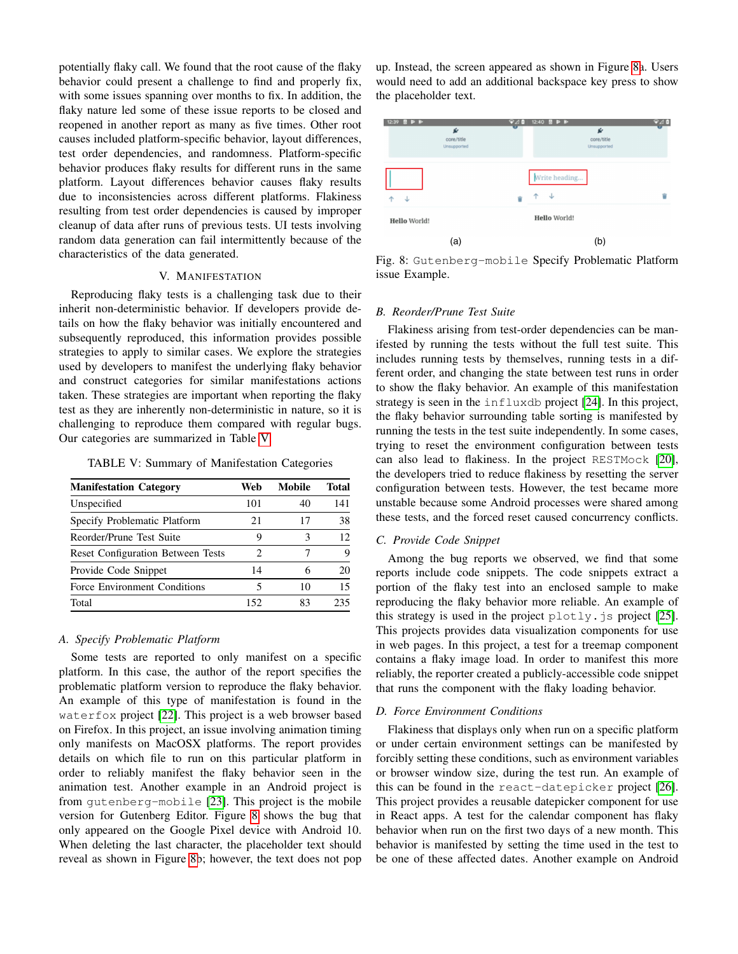potentially flaky call. We found that the root cause of the flaky behavior could present a challenge to find and properly fix, with some issues spanning over months to fix. In addition, the flaky nature led some of these issue reports to be closed and reopened in another report as many as five times. Other root causes included platform-specific behavior, layout differences, test order dependencies, and randomness. Platform-specific behavior produces flaky results for different runs in the same platform. Layout differences behavior causes flaky results due to inconsistencies across different platforms. Flakiness resulting from test order dependencies is caused by improper cleanup of data after runs of previous tests. UI tests involving random data generation can fail intermittently because of the characteristics of the data generated.

## V. MANIFESTATION

<span id="page-6-2"></span>Reproducing flaky tests is a challenging task due to their inherit non-deterministic behavior. If developers provide details on how the flaky behavior was initially encountered and subsequently reproduced, this information provides possible strategies to apply to similar cases. We explore the strategies used by developers to manifest the underlying flaky behavior and construct categories for similar manifestations actions taken. These strategies are important when reporting the flaky test as they are inherently non-deterministic in nature, so it is challenging to reproduce them compared with regular bugs. Our categories are summarized in Table [V.](#page-6-0)

<span id="page-6-0"></span>TABLE V: Summary of Manifestation Categories

| <b>Manifestation Category</b>            | Web | <b>Mobile</b> | <b>Total</b> |
|------------------------------------------|-----|---------------|--------------|
| Unspecified                              | 101 | 40            | 141          |
| Specify Problematic Platform             | 21  | 17            | 38           |
| Reorder/Prune Test Suite                 | 9   | 3             | 12           |
| <b>Reset Configuration Between Tests</b> | 2   |               | Q            |
| Provide Code Snippet                     | 14  | 6             | 20           |
| Force Environment Conditions             | 5   | 10            | 15           |
| Total                                    | 152 | 83            | 235          |

#### *A. Specify Problematic Platform*

Some tests are reported to only manifest on a specific platform. In this case, the author of the report specifies the problematic platform version to reproduce the flaky behavior. An example of this type of manifestation is found in the waterfox project [\[22\]](#page-11-19). This project is a web browser based on Firefox. In this project, an issue involving animation timing only manifests on MacOSX platforms. The report provides details on which file to run on this particular platform in order to reliably manifest the flaky behavior seen in the animation test. Another example in an Android project is from gutenberg-mobile [\[23\]](#page-11-20). This project is the mobile version for Gutenberg Editor. Figure [8](#page-6-1) shows the bug that only appeared on the Google Pixel device with Android 10. When deleting the last character, the placeholder text should reveal as shown in Figure [8b](#page-6-1); however, the text does not pop up. Instead, the screen appeared as shown in Figure [8a](#page-6-1). Users would need to add an additional backspace key press to show the placeholder text.

<span id="page-6-1"></span>

Fig. 8: Gutenberg-mobile Specify Problematic Platform issue Example.

#### *B. Reorder/Prune Test Suite*

Flakiness arising from test-order dependencies can be manifested by running the tests without the full test suite. This includes running tests by themselves, running tests in a different order, and changing the state between test runs in order to show the flaky behavior. An example of this manifestation strategy is seen in the influxdb project [\[24\]](#page-11-21). In this project, the flaky behavior surrounding table sorting is manifested by running the tests in the test suite independently. In some cases, trying to reset the environment configuration between tests can also lead to flakiness. In the project RESTMock [\[20\]](#page-11-17), the developers tried to reduce flakiness by resetting the server configuration between tests. However, the test became more unstable because some Android processes were shared among these tests, and the forced reset caused concurrency conflicts.

#### *C. Provide Code Snippet*

Among the bug reports we observed, we find that some reports include code snippets. The code snippets extract a portion of the flaky test into an enclosed sample to make reproducing the flaky behavior more reliable. An example of this strategy is used in the project  $plotly$ . js project [\[25\]](#page-11-22). This projects provides data visualization components for use in web pages. In this project, a test for a treemap component contains a flaky image load. In order to manifest this more reliably, the reporter created a publicly-accessible code snippet that runs the component with the flaky loading behavior.

#### *D. Force Environment Conditions*

Flakiness that displays only when run on a specific platform or under certain environment settings can be manifested by forcibly setting these conditions, such as environment variables or browser window size, during the test run. An example of this can be found in the react-datepicker project [\[26\]](#page-11-23). This project provides a reusable datepicker component for use in React apps. A test for the calendar component has flaky behavior when run on the first two days of a new month. This behavior is manifested by setting the time used in the test to be one of these affected dates. Another example on Android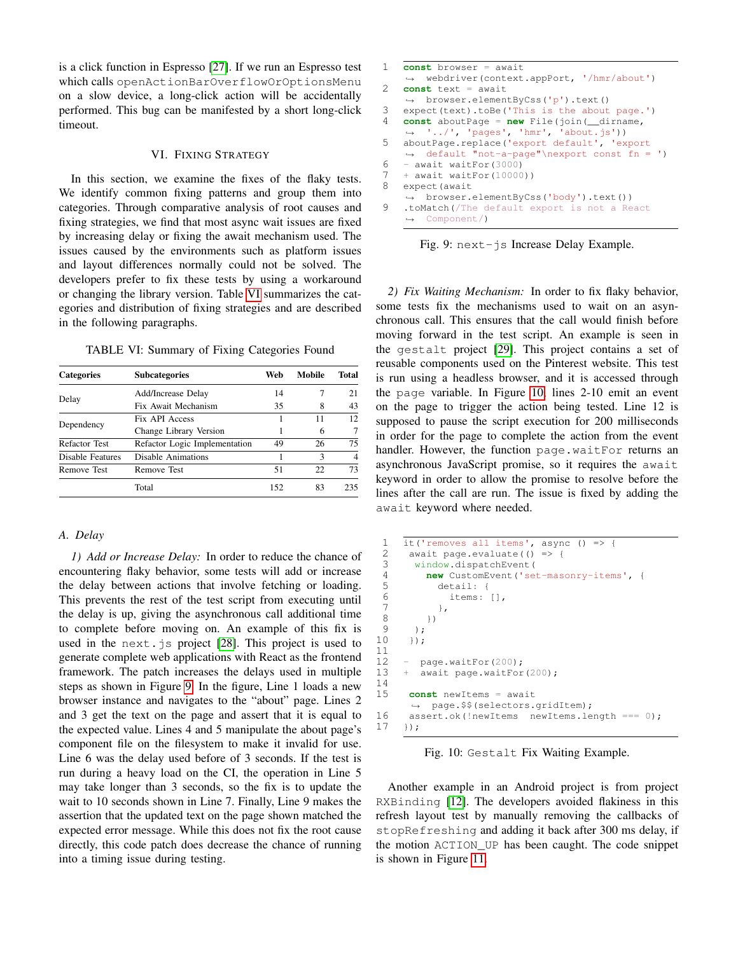is a click function in Espresso [\[27\]](#page-11-24). If we run an Espresso test which calls openActionBarOverflowOrOptionsMenu on a slow device, a long-click action will be accidentally performed. This bug can be manifested by a short long-click timeout.

#### VI. FIXING STRATEGY

<span id="page-7-3"></span>In this section, we examine the fixes of the flaky tests. We identify common fixing patterns and group them into categories. Through comparative analysis of root causes and fixing strategies, we find that most async wait issues are fixed by increasing delay or fixing the await mechanism used. The issues caused by the environments such as platform issues and layout differences normally could not be solved. The developers prefer to fix these tests by using a workaround or changing the library version. Table [VI](#page-7-0) summarizes the categories and distribution of fixing strategies and are described in the following paragraphs.

<span id="page-7-0"></span>TABLE VI: Summary of Fixing Categories Found

| <b>Categories</b>                                                                                                                                                                                                                     | <b>Subcategories</b> | Web | Mobile | Total                    |
|---------------------------------------------------------------------------------------------------------------------------------------------------------------------------------------------------------------------------------------|----------------------|-----|--------|--------------------------|
|                                                                                                                                                                                                                                       | Add/Increase Delay   | 14  |        | 21                       |
| Delay<br>Fix Await Mechanism<br>Fix API Access<br>Dependency<br>Change Library Version<br><b>Refactor Test</b><br>Refactor Logic Implementation<br>Disable Features<br>Disable Animations<br><b>Remove Test</b><br><b>Remove Test</b> | 35                   | 8   | 43     |                          |
|                                                                                                                                                                                                                                       |                      |     | 11     | 12.                      |
|                                                                                                                                                                                                                                       |                      |     | 6      |                          |
|                                                                                                                                                                                                                                       |                      | 49  | 26     | 75                       |
|                                                                                                                                                                                                                                       |                      |     | 3      | $\overline{\mathcal{A}}$ |
|                                                                                                                                                                                                                                       |                      | 51  | 22     | 73                       |
|                                                                                                                                                                                                                                       | Total                | 152 | 83     | 235                      |

## *A. Delay*

*1) Add or Increase Delay:* In order to reduce the chance of encountering flaky behavior, some tests will add or increase the delay between actions that involve fetching or loading. This prevents the rest of the test script from executing until the delay is up, giving the asynchronous call additional time to complete before moving on. An example of this fix is used in the next.js project [\[28\]](#page-11-25). This project is used to generate complete web applications with React as the frontend framework. The patch increases the delays used in multiple steps as shown in Figure [9.](#page-7-1) In the figure, Line 1 loads a new browser instance and navigates to the "about" page. Lines 2 and 3 get the text on the page and assert that it is equal to the expected value. Lines 4 and 5 manipulate the about page's component file on the filesystem to make it invalid for use. Line 6 was the delay used before of 3 seconds. If the test is run during a heavy load on the CI, the operation in Line 5 may take longer than 3 seconds, so the fix is to update the wait to 10 seconds shown in Line 7. Finally, Line 9 makes the assertion that the updated text on the page shown matched the expected error message. While this does not fix the root cause directly, this code patch does decrease the chance of running into a timing issue during testing.

```
1 const browser = await
    ,→ webdriver(context.appPort, '/hmr/about')
2 const text = await
   ,→ browser.elementByCss('p').text()
3 expect(text).toBe('This is the about page.')
4 const aboutPage = new File(join(__dirname,
    ,→ '../', 'pages', 'hmr', 'about.js'))
5 aboutPage.replace('export default', 'export
   ,→ default "not-a-page"\nexport const fn = ')
6 - await waitFor (3000)
7 + await waitFor(10000))<br>8 expect (await
   expect (await
   ,→ browser.elementByCss('body').text())
9 .toMatch(/The default export is not a React
   ,→ Component/)
```
Fig. 9: next-js Increase Delay Example.

*2) Fix Waiting Mechanism:* In order to fix flaky behavior, some tests fix the mechanisms used to wait on an asynchronous call. This ensures that the call would finish before moving forward in the test script. An example is seen in the gestalt project [\[29\]](#page-11-26). This project contains a set of reusable components used on the Pinterest website. This test is run using a headless browser, and it is accessed through the page variable. In Figure [10,](#page-7-2) lines 2-10 emit an event on the page to trigger the action being tested. Line 12 is supposed to pause the script execution for 200 milliseconds in order for the page to complete the action from the event handler. However, the function page.waitFor returns an asynchronous JavaScript promise, so it requires the await keyword in order to allow the promise to resolve before the lines after the call are run. The issue is fixed by adding the await keyword where needed.

```
1 it('removes all items', async () => {<br>2 await page.evaluate(() => {
 2 await page.evaluate(() \Rightarrow {<br>3 window.dispatchEvent(
 3 window.dispatchEvent(<br>4 new CustomEvent('se
 4 new CustomEvent('set-masonry-items', {
                5 detail: {
 6 items: [],
 \begin{array}{ccc} 7 & & & \\ 8 & & 1 \end{array}\begin{matrix} 8 & & & \ & 9 & & \ & 1 & & \end{matrix});
10 });
\begin{array}{c} 11 \\ 12 \end{array}page.waitFor(200);
13 + await page.waitFor(200);
14
15 const newItems = await
         ,→ page.$$(selectors.gridItem);
16 assert.ok(!newItems newItems.length === 0);
17 });
```
Fig. 10: Gestalt Fix Waiting Example.

Another example in an Android project is from project RXBinding [\[12\]](#page-11-9). The developers avoided flakiness in this refresh layout test by manually removing the callbacks of stopRefreshing and adding it back after 300 ms delay, if the motion ACTION\_UP has been caught. The code snippet is shown in Figure [11.](#page-8-0)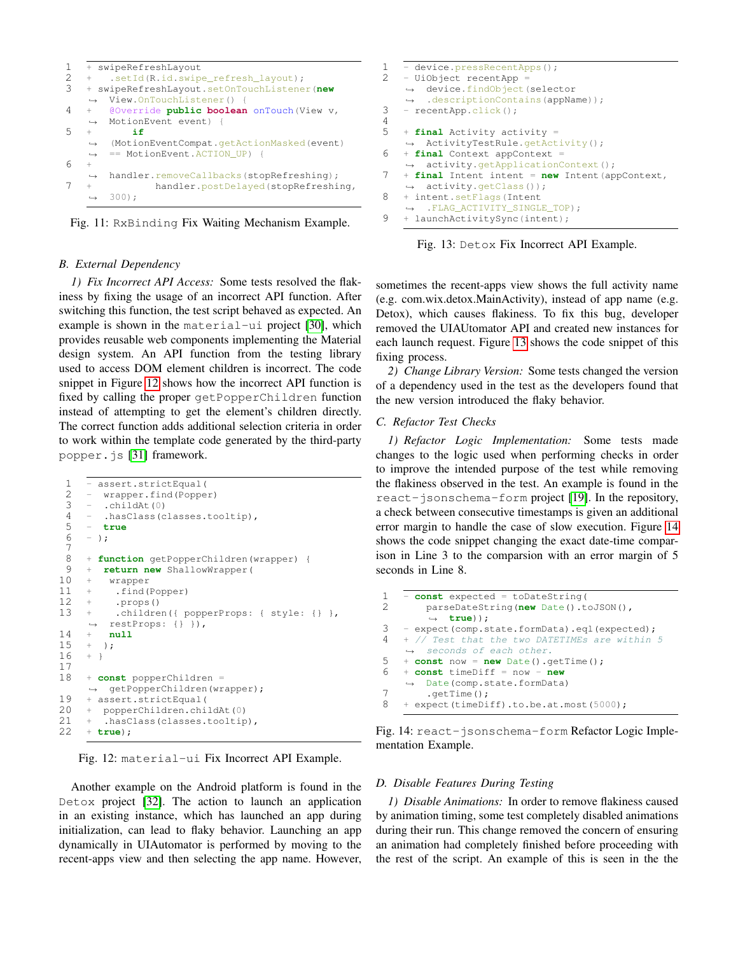```
1 + swipeRefreshLayout<br>
2 + setId(R.id.swing)2 + .setId(R.id.swipe_refresh_layout);<br>3 + swipeRefreshLayout.setOnTouchListene
    3 + swipeRefreshLayout.setOnTouchListener(new
    ,→ View.OnTouchListener() {
4 + @Override public boolean onTouch(View v,
    ,→ MotionEvent event) {
5 + if
         (MotionEventCompat.getActionMasked(event)
         == MotionEvent.ACTION_UP) {
    \rightarrow\rightarrow6 +
    ,→ handler.removeCallbacks(stopRefreshing);
7 + handler.postDelayed(stopRefreshing,
    \rightarrow 300):
```
Fig. 11: RxBinding Fix Waiting Mechanism Example.

## *B. External Dependency*

*1) Fix Incorrect API Access:* Some tests resolved the flakiness by fixing the usage of an incorrect API function. After switching this function, the test script behaved as expected. An example is shown in the material-ui project [\[30\]](#page-11-27), which provides reusable web components implementing the Material design system. An API function from the testing library used to access DOM element children is incorrect. The code snippet in Figure [12](#page-8-1) shows how the incorrect API function is fixed by calling the proper getPopperChildren function instead of attempting to get the element's children directly. The correct function adds additional selection criteria in order to work within the template code generated by the third-party popper.js [\[31\]](#page-11-28) framework.

```
1 - assert.strictEqual(
 2 - wrapper.find(Popper)
 3 - \text{childAt}(0)<br>
4 - \text{hasClass}(c).hasClass(classes.tooltip).
 5 - true
 6 - j;7
 8 + function getPopperChildren(wrapper) {<br>9 + return new ShallowWrapper(
       return new ShallowWrapper(
10 + wrapper
11 + .find(Popper)
12 + .props()
13 + .children({ popperProps: { style: {} },
     ,→ restProps: {} }),
14 + null
15 + )16 + }
17
18 + const popperChildren =
     ,→ getPopperChildren(wrapper);
19 + assert.strictEqual(<br>20 + popperChildren.chi
        20 + popperChildren.childAt(0)
21 + .hasClass(classes.tooltip),
22 + true);
```
Fig. 12: material-ui Fix Incorrect API Example.

Another example on the Android platform is found in the Detox project [\[32\]](#page-11-29). The action to launch an application in an existing instance, which has launched an app during initialization, can lead to flaky behavior. Launching an app dynamically in UIAutomator is performed by moving to the recent-apps view and then selecting the app name. However,

```
1 - device.pressRecentApps();
2 - UiObject recentApp =
    → device.findObject(selector
       .descriptionContains(appName));
    \rightarrow3 - recentApp.click();
4
5 + final Activity activity =
    ,→ ActivityTestRule.getActivity();
6 + final Context appContext =
       activity.getApplicationContext();
7 + final Intent intent = new Intent(appContext,
    ,→ activity.getClass());
8 + intent.setFlags(Intent
    \rightarrow . FLAG ACTIVITY SINGLE TOP);
9 + launchActivitySync(intent);
```
Fig. 13: Detox Fix Incorrect API Example.

sometimes the recent-apps view shows the full activity name (e.g. com.wix.detox.MainActivity), instead of app name (e.g. Detox), which causes flakiness. To fix this bug, developer removed the UIAUtomator API and created new instances for each launch request. Figure [13](#page-8-2) shows the code snippet of this fixing process.

*2) Change Library Version:* Some tests changed the version of a dependency used in the test as the developers found that the new version introduced the flaky behavior.

## *C. Refactor Test Checks*

*1) Refactor Logic Implementation:* Some tests made changes to the logic used when performing checks in order to improve the intended purpose of the test while removing the flakiness observed in the test. An example is found in the react-jsonschema-form project [\[19\]](#page-11-16). In the repository, a check between consecutive timestamps is given an additional error margin to handle the case of slow execution. Figure [14](#page-8-3) shows the code snippet changing the exact date-time comparison in Line 3 to the comparsion with an error margin of 5 seconds in Line 8.

```
1 - const expected = toDateString(<br>2 parseDateString(new Date().t
        2 parseDateString(new Date().toJSON(),
         ,→ true));
3 - expect(comp.state.formData).eql(expected);
4 + // Test that the two DATETIMEs are within 5
    ,→ seconds of each other.
5 + const now = new Date().getTime();
6 + const timeDiff = now - new
        Date(comp.state.formData)
7 \qquad \text{getTime}();<br>8 + expect (timeDi
    + expect(timeDiff).to.be.at.most(5000);
```
Fig. 14: react-jsonschema-form Refactor Logic Implementation Example.

## *D. Disable Features During Testing*

*1) Disable Animations:* In order to remove flakiness caused by animation timing, some test completely disabled animations during their run. This change removed the concern of ensuring an animation had completely finished before proceeding with the rest of the script. An example of this is seen in the the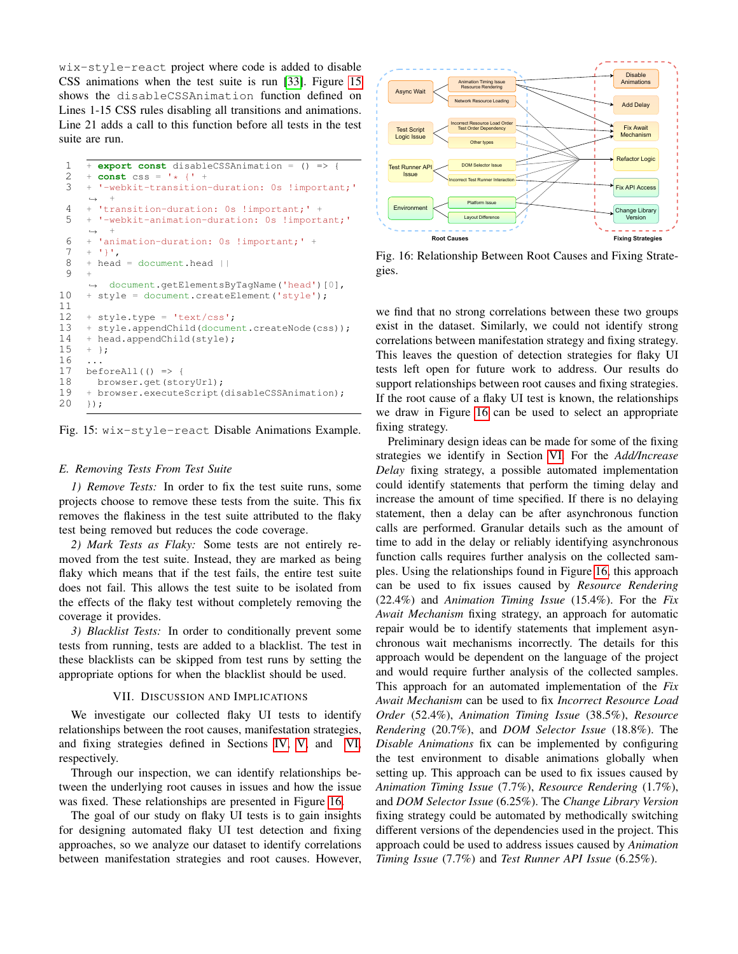wix-style-react project where code is added to disable CSS animations when the test suite is run [\[33\]](#page-11-30). Figure [15](#page-9-0) shows the disableCSSAnimation function defined on Lines 1-15 CSS rules disabling all transitions and animations. Line 21 adds a call to this function before all tests in the test suite are run.

```
\frac{1}{2} + \frac{\text{expert const}}{\text{const}} \text{css} = \frac{1}{4} \left( \frac{1}{4} + \frac{1}{4} \right)2 + const \text{ } css = '*/ ' +<br>3 + '--webkit-transition'-webkit-transition-duration: 0s !important;'
       \leftrightarrow +
 4 + 'transition-duration: 0s !important; ' +<br>5 + '-webkit-animation-duration: 0s !import
      5 + '-webkit-animation-duration: 0s !important;'
           ,→ +
 6 + 'animation-duration: 0s !important; ' + 7 + 11'
 7 + '}',<br>8 + head
      8 + head = document.head ||
 9 +
       ,→ document.getElementsByTagName('head')[0],
10 + style = document.createElement('style');
11
12 + style.type = 'text/css';
13 + style.appendChild(document.createNode(css));
14 + head.appendChild(\text{style});<br>15 + 1:
      + };
16
17 beforeAll() \Rightarrow18 browser.get(storyUrl);
19 + browser.executeScript(disableCSSAnimation);<br>20 });
      20 });
```
Fig. 15: wix-style-react Disable Animations Example.

#### *E. Removing Tests From Test Suite*

*1) Remove Tests:* In order to fix the test suite runs, some projects choose to remove these tests from the suite. This fix removes the flakiness in the test suite attributed to the flaky test being removed but reduces the code coverage.

*2) Mark Tests as Flaky:* Some tests are not entirely removed from the test suite. Instead, they are marked as being flaky which means that if the test fails, the entire test suite does not fail. This allows the test suite to be isolated from the effects of the flaky test without completely removing the coverage it provides.

*3) Blacklist Tests:* In order to conditionally prevent some tests from running, tests are added to a blacklist. The test in these blacklists can be skipped from test runs by setting the appropriate options for when the blacklist should be used.

## VII. DISCUSSION AND IMPLICATIONS

We investigate our collected flaky UI tests to identify relationships between the root causes, manifestation strategies, and fixing strategies defined in Sections [IV,](#page-2-2) [V,](#page-6-2) and [VI,](#page-7-3) respectively.

Through our inspection, we can identify relationships between the underlying root causes in issues and how the issue was fixed. These relationships are presented in Figure [16.](#page-9-1)

The goal of our study on flaky UI tests is to gain insights for designing automated flaky UI test detection and fixing approaches, so we analyze our dataset to identify correlations between manifestation strategies and root causes. However,

<span id="page-9-1"></span>

Fig. 16: Relationship Between Root Causes and Fixing Strategies.

we find that no strong correlations between these two groups exist in the dataset. Similarly, we could not identify strong correlations between manifestation strategy and fixing strategy. This leaves the question of detection strategies for flaky UI tests left open for future work to address. Our results do support relationships between root causes and fixing strategies. If the root cause of a flaky UI test is known, the relationships we draw in Figure [16](#page-9-1) can be used to select an appropriate fixing strategy.

Preliminary design ideas can be made for some of the fixing strategies we identify in Section [VI.](#page-7-3) For the *Add/Increase Delay* fixing strategy, a possible automated implementation could identify statements that perform the timing delay and increase the amount of time specified. If there is no delaying statement, then a delay can be after asynchronous function calls are performed. Granular details such as the amount of time to add in the delay or reliably identifying asynchronous function calls requires further analysis on the collected samples. Using the relationships found in Figure [16,](#page-9-1) this approach can be used to fix issues caused by *Resource Rendering* (22.4%) and *Animation Timing Issue* (15.4%). For the *Fix Await Mechanism* fixing strategy, an approach for automatic repair would be to identify statements that implement asynchronous wait mechanisms incorrectly. The details for this approach would be dependent on the language of the project and would require further analysis of the collected samples. This approach for an automated implementation of the *Fix Await Mechanism* can be used to fix *Incorrect Resource Load Order* (52.4%), *Animation Timing Issue* (38.5%), *Resource Rendering* (20.7%), and *DOM Selector Issue* (18.8%). The *Disable Animations* fix can be implemented by configuring the test environment to disable animations globally when setting up. This approach can be used to fix issues caused by *Animation Timing Issue* (7.7%), *Resource Rendering* (1.7%), and *DOM Selector Issue* (6.25%). The *Change Library Version* fixing strategy could be automated by methodically switching different versions of the dependencies used in the project. This approach could be used to address issues caused by *Animation Timing Issue* (7.7%) and *Test Runner API Issue* (6.25%).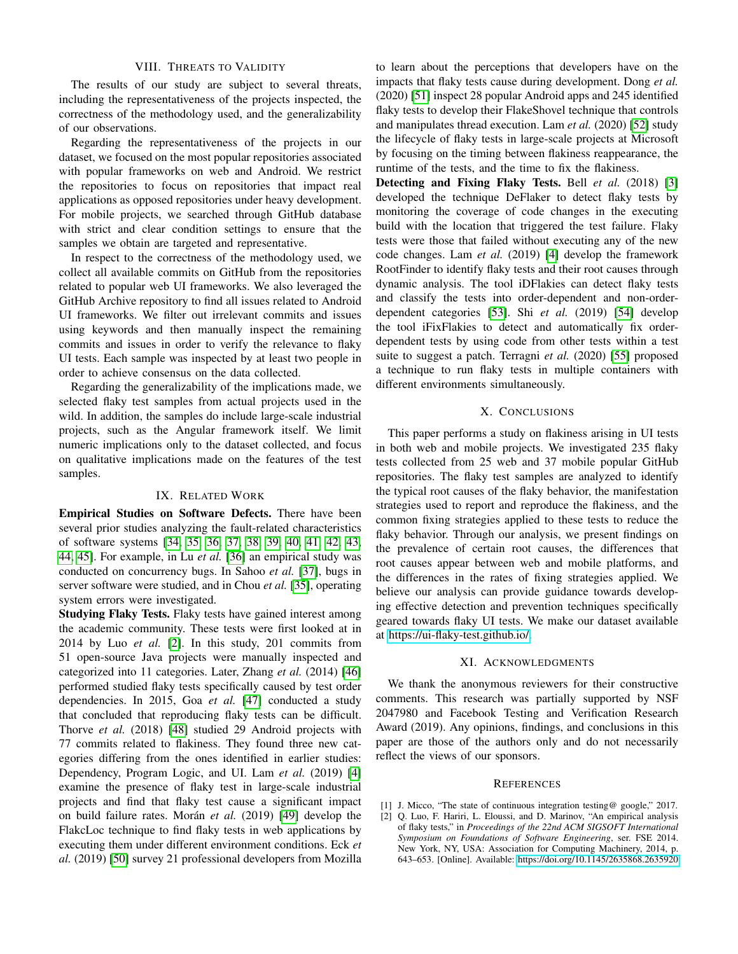## VIII. THREATS TO VALIDITY

The results of our study are subject to several threats, including the representativeness of the projects inspected, the correctness of the methodology used, and the generalizability of our observations.

Regarding the representativeness of the projects in our dataset, we focused on the most popular repositories associated with popular frameworks on web and Android. We restrict the repositories to focus on repositories that impact real applications as opposed repositories under heavy development. For mobile projects, we searched through GitHub database with strict and clear condition settings to ensure that the samples we obtain are targeted and representative.

In respect to the correctness of the methodology used, we collect all available commits on GitHub from the repositories related to popular web UI frameworks. We also leveraged the GitHub Archive repository to find all issues related to Android UI frameworks. We filter out irrelevant commits and issues using keywords and then manually inspect the remaining commits and issues in order to verify the relevance to flaky UI tests. Each sample was inspected by at least two people in order to achieve consensus on the data collected.

Regarding the generalizability of the implications made, we selected flaky test samples from actual projects used in the wild. In addition, the samples do include large-scale industrial projects, such as the Angular framework itself. We limit numeric implications only to the dataset collected, and focus on qualitative implications made on the features of the test samples.

### IX. RELATED WORK

Empirical Studies on Software Defects. There have been several prior studies analyzing the fault-related characteristics of software systems [\[34,](#page-11-31) [35,](#page-11-32) [36,](#page-11-33) [37,](#page-11-34) [38,](#page-11-35) [39,](#page-11-36) [40,](#page-11-37) [41,](#page-11-38) [42,](#page-11-39) [43,](#page-11-40) [44,](#page-11-41) [45\]](#page-11-42). For example, in Lu *et al.* [\[36\]](#page-11-33) an empirical study was conducted on concurrency bugs. In Sahoo *et al.* [\[37\]](#page-11-34), bugs in server software were studied, and in Chou *et al.* [\[35\]](#page-11-32), operating system errors were investigated.

Studying Flaky Tests. Flaky tests have gained interest among the academic community. These tests were first looked at in 2014 by Luo *et al.* [\[2\]](#page-10-1). In this study, 201 commits from 51 open-source Java projects were manually inspected and categorized into 11 categories. Later, Zhang *et al.* (2014) [\[46\]](#page-11-43) performed studied flaky tests specifically caused by test order dependencies. In 2015, Goa *et al.* [\[47\]](#page-11-44) conducted a study that concluded that reproducing flaky tests can be difficult. Thorve *et al.* (2018) [\[48\]](#page-12-0) studied 29 Android projects with 77 commits related to flakiness. They found three new categories differing from the ones identified in earlier studies: Dependency, Program Logic, and UI. Lam *et al.* (2019) [\[4\]](#page-11-1) examine the presence of flaky test in large-scale industrial projects and find that flaky test cause a significant impact on build failure rates. Morán *et al.* (2019) [\[49\]](#page-12-1) develop the FlakcLoc technique to find flaky tests in web applications by executing them under different environment conditions. Eck *et al.* (2019) [\[50\]](#page-12-2) survey 21 professional developers from Mozilla

to learn about the perceptions that developers have on the impacts that flaky tests cause during development. Dong *et al.* (2020) [\[51\]](#page-12-3) inspect 28 popular Android apps and 245 identified flaky tests to develop their FlakeShovel technique that controls and manipulates thread execution. Lam *et al.* (2020) [\[52\]](#page-12-4) study the lifecycle of flaky tests in large-scale projects at Microsoft by focusing on the timing between flakiness reappearance, the runtime of the tests, and the time to fix the flakiness.

Detecting and Fixing Flaky Tests. Bell *et al.* (2018) [\[3\]](#page-11-0) developed the technique DeFlaker to detect flaky tests by monitoring the coverage of code changes in the executing build with the location that triggered the test failure. Flaky tests were those that failed without executing any of the new code changes. Lam *et al.* (2019) [\[4\]](#page-11-1) develop the framework RootFinder to identify flaky tests and their root causes through dynamic analysis. The tool iDFlakies can detect flaky tests and classify the tests into order-dependent and non-orderdependent categories [\[53\]](#page-12-5). Shi *et al.* (2019) [\[54\]](#page-12-6) develop the tool iFixFlakies to detect and automatically fix orderdependent tests by using code from other tests within a test suite to suggest a patch. Terragni *et al.* (2020) [\[55\]](#page-12-7) proposed a technique to run flaky tests in multiple containers with different environments simultaneously.

## X. CONCLUSIONS

This paper performs a study on flakiness arising in UI tests in both web and mobile projects. We investigated 235 flaky tests collected from 25 web and 37 mobile popular GitHub repositories. The flaky test samples are analyzed to identify the typical root causes of the flaky behavior, the manifestation strategies used to report and reproduce the flakiness, and the common fixing strategies applied to these tests to reduce the flaky behavior. Through our analysis, we present findings on the prevalence of certain root causes, the differences that root causes appear between web and mobile platforms, and the differences in the rates of fixing strategies applied. We believe our analysis can provide guidance towards developing effective detection and prevention techniques specifically geared towards flaky UI tests. We make our dataset available at [https://ui-flaky-test.github.io/.](https://ui-flaky-test.github.io/)

#### XI. ACKNOWLEDGMENTS

We thank the anonymous reviewers for their constructive comments. This research was partially supported by NSF 2047980 and Facebook Testing and Verification Research Award (2019). Any opinions, findings, and conclusions in this paper are those of the authors only and do not necessarily reflect the views of our sponsors.

#### **REFERENCES**

- <span id="page-10-0"></span>[1] J. Micco, "The state of continuous integration testing@ google," 2017.
- <span id="page-10-1"></span>[2] Q. Luo, F. Hariri, L. Eloussi, and D. Marinov, "An empirical analysis of flaky tests," in *Proceedings of the 22nd ACM SIGSOFT International Symposium on Foundations of Software Engineering*, ser. FSE 2014. New York, NY, USA: Association for Computing Machinery, 2014, p. 643–653. [Online]. Available:<https://doi.org/10.1145/2635868.2635920>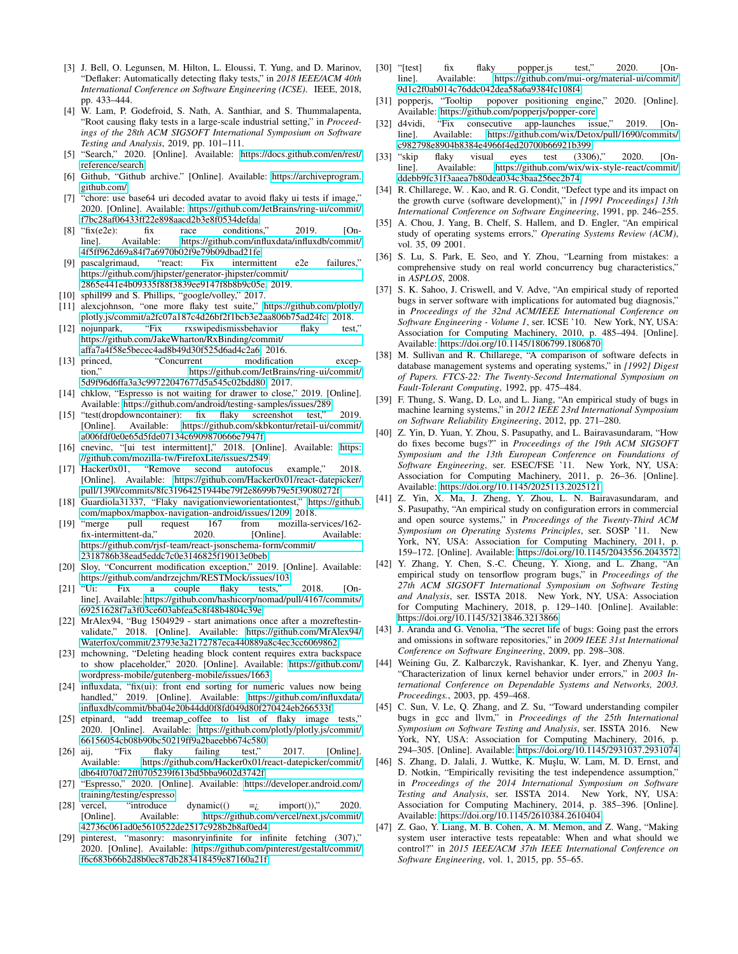- <span id="page-11-0"></span>[3] J. Bell, O. Legunsen, M. Hilton, L. Eloussi, T. Yung, and D. Marinov, "Deflaker: Automatically detecting flaky tests," in *2018 IEEE/ACM 40th International Conference on Software Engineering (ICSE)*. IEEE, 2018, pp. 433–444.
- <span id="page-11-1"></span>[4] W. Lam, P. Godefroid, S. Nath, A. Santhiar, and S. Thummalapenta, "Root causing flaky tests in a large-scale industrial setting," in *Proceedings of the 28th ACM SIGSOFT International Symposium on Software Testing and Analysis*, 2019, pp. 101–111.
- <span id="page-11-2"></span>[5] "Search," 2020. [Online]. Available: [https://docs.github.com/en/rest/](https://docs.github.com/en/rest/reference/search) [reference/search](https://docs.github.com/en/rest/reference/search)
- <span id="page-11-3"></span>[6] Github, "Github archive." [Online]. Available: [https://archiveprogram.](https://archiveprogram.github.com/) [github.com/](https://archiveprogram.github.com/)
- <span id="page-11-4"></span>[7] "chore: use base64 uri decoded avatar to avoid flaky ui tests if image," 2020. [Online]. Available: [https://github.com/JetBrains/ring-ui/commit/](https://github.com/JetBrains/ring-ui/commit/f7bc28af06433ff22e898aacd2b3e8f0534defda) [f7bc28af06433ff22e898aacd2b3e8f0534defda](https://github.com/JetBrains/ring-ui/commit/f7bc28af06433ff22e898aacd2b3e8f0534defda)
- <span id="page-11-5"></span>[8] "fix(e2e): fix race conditions," 2019. [Online]. Available: [https://github.com/influxdata/influxdb/commit/](https://github.com/influxdata/influxdb/commit/4f5ff962d69a84f7a6970b02f9e79b09dbad21fe) [4f5ff962d69a84f7a6970b02f9e79b09dbad21fe](https://github.com/influxdata/influxdb/commit/4f5ff962d69a84f7a6970b02f9e79b09dbad21fe)
- <span id="page-11-6"></span>pascalgrimaud, "react: Fix intermittent e2e failures," [https://github.com/jhipster/generator-jhipster/commit/](https://github.com/jhipster/generator-jhipster/commit/2865e441e4b09335f88f3839ee9147f8b8b9c05e) [2865e441e4b09335f88f3839ee9147f8b8b9c05e,](https://github.com/jhipster/generator-jhipster/commit/2865e441e4b09335f88f3839ee9147f8b8b9c05e) 2019.
- <span id="page-11-7"></span>[10] sphill99 and S. Phillips, "google/volley," 2017.
- <span id="page-11-8"></span>[11] alexcjohnson, "one more flaky test suite," [https://github.com/plotly/](https://github.com/plotly/plotly.js/commit/a2fc07a187c4d26bf2f1bcb3e2aa806b75ad24fc)
- <span id="page-11-9"></span>[plotly.js/commit/a2fc07a187c4d26bf2f1bcb3e2aa806b75ad24fc,](https://github.com/plotly/plotly.js/commit/a2fc07a187c4d26bf2f1bcb3e2aa806b75ad24fc) 2018.<br>nojunpark, "Fix rxswipedismissbehavior flaky test." [12] nojunpark, "Fix rxswipedismissbehavior flaky [https://github.com/JakeWharton/RxBinding/commit/](https://github.com/JakeWharton/RxBinding/commit/affa7a4f58e5becec4ad8b49d30f525d6ad4c2a6) [affa7a4f58e5becec4ad8b49d30f525d6ad4c2a6,](https://github.com/JakeWharton/RxBinding/commit/affa7a4f58e5becec4ad8b49d30f525d6ad4c2a6) 2016.
- <span id="page-11-10"></span>[13] princed, "Concurrent modification exception," [https://github.com/JetBrains/ring-ui/commit/](https://github.com/JetBrains/ring-ui/commit/5d9f96d6ffa3a3c99722047677d5a545c02bdd80) [5d9f96d6ffa3a3c99722047677d5a545c02bdd80,](https://github.com/JetBrains/ring-ui/commit/5d9f96d6ffa3a3c99722047677d5a545c02bdd80) 2017.
- <span id="page-11-11"></span>[14] chklow, "Espresso is not waiting for drawer to close," 2019. [Online]. Available:<https://github.com/android/testing-samples/issues/289>
- <span id="page-11-12"></span>[15] "test(dropdowncontainer): fix flaky screenshot test," 2019. [Online]. Available: [https://github.com/skbkontur/retail-ui/commit/](https://github.com/skbkontur/retail-ui/commit/a006fdf0e0e65d5fde07134c6909870666e7947f) [a006fdf0e0e65d5fde07134c6909870666e7947f](https://github.com/skbkontur/retail-ui/commit/a006fdf0e0e65d5fde07134c6909870666e7947f)
- <span id="page-11-13"></span>[16] cnevinc, "[ui test intermittent]," 2018. [Online]. Available: [https:](https://github.com/mozilla-tw/FirefoxLite/issues/2549) [//github.com/mozilla-tw/FirefoxLite/issues/2549](https://github.com/mozilla-tw/FirefoxLite/issues/2549)
- <span id="page-11-14"></span>[17] Hacker0x01, "Remove second autofocus example," 2018. [Online]. Available: [https://github.com/Hacker0x01/react-datepicker/](https://github.com/Hacker0x01/react-datepicker/pull/1390/commits/8fc31964251944be79f2e8699b79e5f39080272f) [pull/1390/commits/8fc31964251944be79f2e8699b79e5f39080272f](https://github.com/Hacker0x01/react-datepicker/pull/1390/commits/8fc31964251944be79f2e8699b79e5f39080272f)
- <span id="page-11-15"></span>[18] Guardiola31337, "Flaky navigationvieworientationtest," [https://github.](https://github.com/mapbox/mapbox-navigation-android/issues/1209) [com/mapbox/mapbox-navigation-android/issues/1209,](https://github.com/mapbox/mapbox-navigation-android/issues/1209) 2018.
- <span id="page-11-16"></span>[19] "merge pull request 167 from mozilla-services/162 fix-intermittent-da," [https://github.com/rjsf-team/react-jsonschema-form/commit/](https://github.com/rjsf-team/react-jsonschema-form/commit/2318786b38ead5eddc7c0e3146825f19013e0beb) [2318786b38ead5eddc7c0e3146825f19013e0beb](https://github.com/rjsf-team/react-jsonschema-form/commit/2318786b38ead5eddc7c0e3146825f19013e0beb)
- <span id="page-11-17"></span>[20] Sloy, "Concurrent modification exception," 2019. [Online]. Available: <https://github.com/andrzejchm/RESTMock/issues/103><br>"Ui: Fix a couple flaky tests,"
- <span id="page-11-18"></span>[21] "Ui: Fix a couple flaky tests," 2018. [Online]. Available: [https://github.com/hashicorp/nomad/pull/4167/commits/](https://github.com/hashicorp/nomad/pull/4167/commits/69251628f7a3f03ce603abfea5c8f48b4804c39e) [69251628f7a3f03ce603abfea5c8f48b4804c39e](https://github.com/hashicorp/nomad/pull/4167/commits/69251628f7a3f03ce603abfea5c8f48b4804c39e)
- <span id="page-11-19"></span>[22] MrAlex94, "Bug 1504929 - start animations once after a mozreftestinvalidate," 2018. [Online]. Available: [https://github.com/MrAlex94/](https://github.com/MrAlex94/Waterfox/commit/23793e3a2172787eca440889a8c4ec3cc6069862) [Waterfox/commit/23793e3a2172787eca440889a8c4ec3cc6069862](https://github.com/MrAlex94/Waterfox/commit/23793e3a2172787eca440889a8c4ec3cc6069862)
- <span id="page-11-20"></span>[23] mchowning, "Deleting heading block content requires extra backspace to show placeholder," 2020. [Online]. Available: [https://github.com/](https://github.com/wordpress-mobile/gutenberg-mobile/issues/1663) [wordpress-mobile/gutenberg-mobile/issues/1663](https://github.com/wordpress-mobile/gutenberg-mobile/issues/1663)
- <span id="page-11-21"></span>[24] influxdata, "fix(ui): front end sorting for numeric values now being handled," 2019. [Online]. Available: [https://github.com/influxdata/](https://github.com/influxdata/influxdb/commit/bba04e20b44dd0f8fd049d80f270424eb266533f) [influxdb/commit/bba04e20b44dd0f8fd049d80f270424eb266533f](https://github.com/influxdata/influxdb/commit/bba04e20b44dd0f8fd049d80f270424eb266533f)
- <span id="page-11-22"></span>[25] etpinard, "add treemap coffee to list of flaky image tests," 2020. [Online]. Available: [https://github.com/plotly/plotly.js/commit/](https://github.com/plotly/plotly.js/commit/66156054cb08b90bc50219ff9a2baeebb674c580) [66156054cb08b90bc50219ff9a2baeebb674c580](https://github.com/plotly/plotly.js/commit/66156054cb08b90bc50219ff9a2baeebb674c580)
- <span id="page-11-23"></span>[26] aij, "Fix flaky failing test," 2017. [Online]. Available: [https://github.com/Hacker0x01/react-datepicker/commit/](https://github.com/Hacker0x01/react-datepicker/commit/db64f070d72ff0705239f613bd5bba9602d3742f) [db64f070d72ff0705239f613bd5bba9602d3742f](https://github.com/Hacker0x01/react-datepicker/commit/db64f070d72ff0705239f613bd5bba9602d3742f)
- <span id="page-11-24"></span>[27] "Espresso," 2020. [Online]. Available: [https://developer.android.com/](https://developer.android.com/training/testing/espresso) [training/testing/espresso](https://developer.android.com/training/testing/espresso)
- <span id="page-11-25"></span>[28] vercel, "introduce dynamic(() = $i$  import())," 2020. [Online]. Available: [https://github.com/vercel/next.js/commit/](https://github.com/vercel/next.js/commit/42736c061ad0e5610522de2517c928b2b8af0ed4) [42736c061ad0e5610522de2517c928b2b8af0ed4](https://github.com/vercel/next.js/commit/42736c061ad0e5610522de2517c928b2b8af0ed4)
- <span id="page-11-26"></span>[29] pinterest, "masonry: masonryinfinite for infinite fetching (307)," 2020. [Online]. Available: [https://github.com/pinterest/gestalt/commit/](https://github.com/pinterest/gestalt/commit/f6c683b66b2d8b0ec87db283418459e87160a21f) [f6c683b66b2d8b0ec87db283418459e87160a21f](https://github.com/pinterest/gestalt/commit/f6c683b66b2d8b0ec87db283418459e87160a21f)
- <span id="page-11-27"></span>[30] "[test] fix flaky popper.js test," 2020. [Online]. Available: [https://github.com/mui-org/material-ui/commit/](https://github.com/mui-org/material-ui/commit/9d1c2f0ab014c76ddc042dea58a6a9384fc108f4) [9d1c2f0ab014c76ddc042dea58a6a9384fc108f4](https://github.com/mui-org/material-ui/commit/9d1c2f0ab014c76ddc042dea58a6a9384fc108f4)
- <span id="page-11-28"></span>[31] popperjs, "Tooltip popover positioning engine," 2020. [Online]. Available:<https://github.com/popperjs/popper-core>
- <span id="page-11-29"></span>[32] d4vidi, "Fix consecutive app-launches issue," 2019. [Online]. Available: [https://github.com/wix/Detox/pull/1690/commits/](https://github.com/wix/Detox/pull/1690/commits/c982798e8904b8384e4966f4ed20700b66921b399) [c982798e8904b8384e4966f4ed20700b66921b399](https://github.com/wix/Detox/pull/1690/commits/c982798e8904b8384e4966f4ed20700b66921b399)
- <span id="page-11-30"></span>[33] "skip flaky visual eyes test (3306)," 2020. [Online]. Available: [https://github.com/wix/wix-style-react/commit/](https://github.com/wix/wix-style-react/commit/ddebb9fc31f3aaea7b80dea034c3baa256ec2b74) [ddebb9fc31f3aaea7b80dea034c3baa256ec2b74](https://github.com/wix/wix-style-react/commit/ddebb9fc31f3aaea7b80dea034c3baa256ec2b74)
- <span id="page-11-31"></span>[34] R. Chillarege, W. . Kao, and R. G. Condit, "Defect type and its impact on the growth curve (software development)," in *[1991 Proceedings] 13th International Conference on Software Engineering*, 1991, pp. 246–255.
- <span id="page-11-32"></span>[35] A. Chou, J. Yang, B. Chelf, S. Hallem, and D. Engler, "An empirical study of operating systems errors," *Operating Systems Review (ACM)*, vol. 35, 09 2001.
- <span id="page-11-33"></span>[36] S. Lu, S. Park, E. Seo, and Y. Zhou, "Learning from mistakes: a comprehensive study on real world concurrency bug characteristics," in *ASPLOS*, 2008.
- <span id="page-11-34"></span>[37] S. K. Sahoo, J. Criswell, and V. Adve, "An empirical study of reported bugs in server software with implications for automated bug diagnosis," in *Proceedings of the 32nd ACM/IEEE International Conference on Software Engineering - Volume 1*, ser. ICSE '10. New York, NY, USA: Association for Computing Machinery, 2010, p. 485–494. [Online]. Available:<https://doi.org/10.1145/1806799.1806870>
- <span id="page-11-35"></span>[38] M. Sullivan and R. Chillarege, "A comparison of software defects in database management systems and operating systems," in *[1992] Digest of Papers. FTCS-22: The Twenty-Second International Symposium on Fault-Tolerant Computing*, 1992, pp. 475–484.
- <span id="page-11-36"></span>[39] F. Thung, S. Wang, D. Lo, and L. Jiang, "An empirical study of bugs in machine learning systems," in *2012 IEEE 23rd International Symposium on Software Reliability Engineering*, 2012, pp. 271–280.
- <span id="page-11-37"></span>[40] Z. Yin, D. Yuan, Y. Zhou, S. Pasupathy, and L. Bairavasundaram, "How do fixes become bugs?" in *Proceedings of the 19th ACM SIGSOFT Symposium and the 13th European Conference on Foundations of Software Engineering*, ser. ESEC/FSE '11. New York, NY, USA: Association for Computing Machinery, 2011, p. 26–36. [Online]. Available:<https://doi.org/10.1145/2025113.2025121>
- <span id="page-11-38"></span>[41] Z. Yin, X. Ma, J. Zheng, Y. Zhou, L. N. Bairavasundaram, and S. Pasupathy, "An empirical study on configuration errors in commercial and open source systems," in *Proceedings of the Twenty-Third ACM Symposium on Operating Systems Principles*, ser. SOSP '11. New York, NY, USA: Association for Computing Machinery, 2011, p. 159–172. [Online]. Available:<https://doi.org/10.1145/2043556.2043572>
- <span id="page-11-39"></span>[42] Y. Zhang, Y. Chen, S.-C. Cheung, Y. Xiong, and L. Zhang, "An empirical study on tensorflow program bugs," in *Proceedings of the 27th ACM SIGSOFT International Symposium on Software Testing and Analysis*, ser. ISSTA 2018. New York, NY, USA: Association for Computing Machinery, 2018, p. 129–140. [Online]. Available: <https://doi.org/10.1145/3213846.3213866>
- <span id="page-11-40"></span>[43] J. Aranda and G. Venolia, "The secret life of bugs: Going past the errors and omissions in software repositories," in *2009 IEEE 31st International Conference on Software Engineering*, 2009, pp. 298–308.
- <span id="page-11-41"></span>[44] Weining Gu, Z. Kalbarczyk, Ravishankar, K. Iyer, and Zhenyu Yang, "Characterization of linux kernel behavior under errors," in *2003 International Conference on Dependable Systems and Networks, 2003. Proceedings.*, 2003, pp. 459–468.
- <span id="page-11-42"></span>[45] C. Sun, V. Le, Q. Zhang, and Z. Su, "Toward understanding compiler bugs in gcc and llvm," in *Proceedings of the 25th International Symposium on Software Testing and Analysis*, ser. ISSTA 2016. New York, NY, USA: Association for Computing Machinery, 2016, p. 294–305. [Online]. Available:<https://doi.org/10.1145/2931037.2931074>
- <span id="page-11-43"></span>[46] S. Zhang, D. Jalali, J. Wuttke, K. Muşlu, W. Lam, M. D. Ernst, and D. Notkin, "Empirically revisiting the test independence assumption," in *Proceedings of the 2014 International Symposium on Software Testing and Analysis*, ser. ISSTA 2014. New York, NY, USA: Association for Computing Machinery, 2014, p. 385–396. [Online]. Available:<https://doi.org/10.1145/2610384.2610404>
- <span id="page-11-44"></span>[47] Z. Gao, Y. Liang, M. B. Cohen, A. M. Memon, and Z. Wang, "Making system user interactive tests repeatable: When and what should we control?" in *2015 IEEE/ACM 37th IEEE International Conference on Software Engineering*, vol. 1, 2015, pp. 55–65.